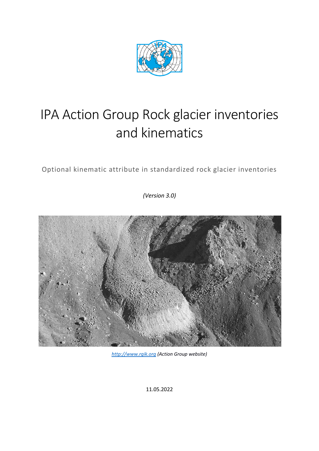

# IPA Action Group Rock glacier inventories and kinematics

Optional kinematic attribute in standardized rock glacier inventories

*(Version 3.0)*



*[http://www.rgik.org](http://www.rgik.org/) (Action Group website)*

11.05.2022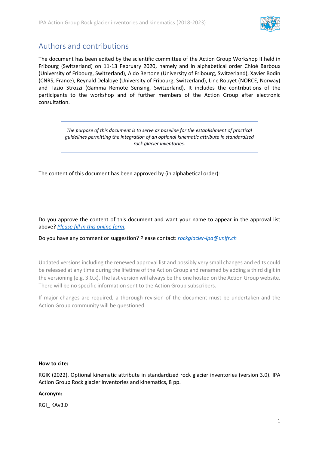

# <span id="page-1-0"></span>Authors and contributions

The document has been edited by the scientific committee of the Action Group Workshop II held in Fribourg (Switzerland) on 11-13 February 2020, namely and in alphabetical order Chloé Barboux (University of Fribourg, Switzerland), Aldo Bertone (University of Fribourg, Switzerland), Xavier Bodin (CNRS, France), Reynald Delaloye (University of Fribourg, Switzerland), Line Rouyet (NORCE, Norway) and Tazio Strozzi (Gamma Remote Sensing, Switzerland). It includes the contributions of the participants to the workshop and of further members of the Action Group after electronic consultation.

> *The purpose of this document is to serve as baseline for the establishment of practical guidelines permitting the integration of an optional kinematic attribute in standardized rock glacier inventories.*

The content of this document has been approved by (in alphabetical order):

Do you approve the content of this document and want your name to appear in the approval list above? *[Please fill in this online form.](https://docs.google.com/forms/d/e/1FAIpQLSf_cFA7k1x0g7QQJcKj7BwFRWDeIrKve2-YiOQi_bDEhHeGQQ/viewform?usp=sf_link)*

Do you have any comment or suggestion? Please contact: *[rockglacier-ipa@unifr.ch](mailto:rockglacier-ipa@unifr.ch)*

Updated versions including the renewed approval list and possibly very small changes and edits could be released at any time during the lifetime of the Action Group and renamed by adding a third digit in the versioning (e.g. 3.0.x). The last version will always be the one hosted on the Action Group website. There will be no specific information sent to the Action Group subscribers.

If major changes are required, a thorough revision of the document must be undertaken and the Action Group community will be questioned.

#### **How to cite:**

RGIK (2022). Optional kinematic attribute in standardized rock glacier inventories (version 3.0). IPA Action Group Rock glacier inventories and kinematics, 8 pp.

#### **Acronym:**

RGI\_ KAv3.0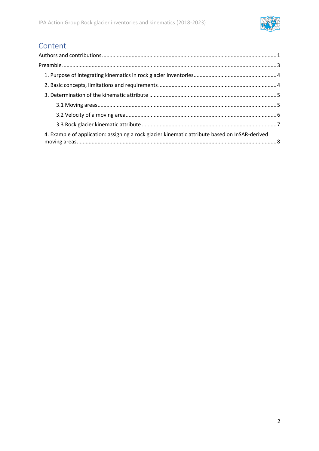

# Content

| 4. Example of application: assigning a rock glacier kinematic attribute based on InSAR-derived |  |
|------------------------------------------------------------------------------------------------|--|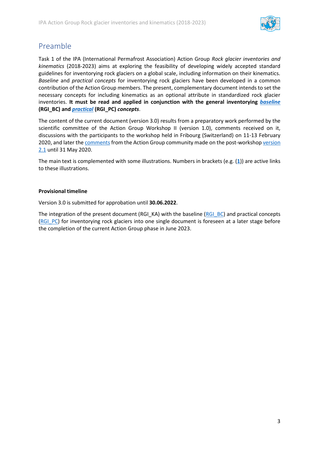

# <span id="page-3-0"></span>Preamble

Task 1 of the IPA (International Permafrost Association) Action Group *Rock glacier inventories and kinematics* (2018-2023) aims at exploring the feasibility of developing widely accepted standard guidelines for inventorying rock glaciers on a global scale, including information on their kinematics. *Baseline* and *practical concepts* for inventorying rock glaciers have been developed in a common contribution of the Action Group members. The present, complementary document intends to set the necessary concepts for including kinematics as an optional attribute in standardized rock glacier inventories. **It must be read and applied in conjunction with the general inventorying** *[baseline](https://bigweb.unifr.ch/Science/Geosciences/Geomorphology/Pub/Website/IPA/CurrentVersion/Current_Baseline_Concepts_Inventorying_Rock_Glaciers.pdf)* **(RGI\_BC) and** *[practical](https://bigweb.unifr.ch/Science/Geosciences/Geomorphology/Pub/Website/IPA/CurrentVersion/Current_Practical_Concepts_Inventorying_Rock_Glaciers.pdf)* **(RGI\_PC)** *concepts*.

The content of the current document (version 3.0) results from a preparatory work performed by the scientific committee of the Action Group Workshop II (version 1.0), comments received on it, discussions with the participants to the workshop held in Fribourg (Switzerland) on 11-13 February 2020, and later the [comments](https://bigweb.unifr.ch/Science/Geosciences/Geomorphology/Pub/Website/IPA/Guidelines/KinematicsAttribute/200601_KinematicsAttribute_Comments_to_V2.1.pdf) from the Action Group community made on the post-worksho[p version](https://bigweb.unifr.ch/Science/Geosciences/Geomorphology/Pub/Website/IPA/Guidelines/KinematicsAttribute/200429_KinematicsAttribute_V2.1.pdf)  [2.1](https://bigweb.unifr.ch/Science/Geosciences/Geomorphology/Pub/Website/IPA/Guidelines/KinematicsAttribute/200429_KinematicsAttribute_V2.1.pdf) until 31 May 2020.

The main text is complemented with some illustrations. Numbers in brackets (e.g. (**[1](https://bigweb.unifr.ch/Science/Geosciences/Geomorphology/Pub/Website/IPA/Guidelines/BPC/ATLAS/1_ATLAS_IPA_AG_RGI_KA.pdf)**)) are active links to these illustrations.

#### **Provisional timeline**

Version 3.0 is submitted for approbation until **30.06.2022**.

The integration of the present document (RGI\_KA) with the baseline [\(RGI\\_BC\)](https://bigweb.unifr.ch/Science/Geosciences/Geomorphology/Pub/Website/IPA/CurrentVersion/Current_Baseline_Concepts_Inventorying_Rock_Glaciers.pdf) and practical concepts [\(RGI\\_PC\)](https://bigweb.unifr.ch/Science/Geosciences/Geomorphology/Pub/Website/IPA/CurrentVersion/Current_Practical_Concepts_Inventorying_Rock_Glaciers.pdf) for inventorying rock glaciers into one single document is foreseen at a later stage before the completion of the current Action Group phase in June 2023.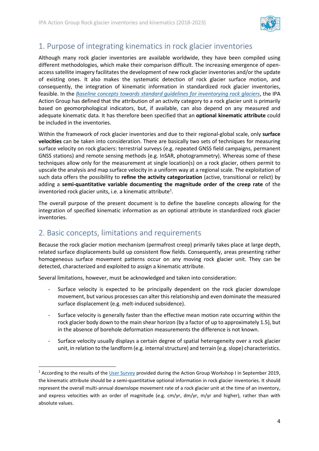

# <span id="page-4-0"></span>1. Purpose of integrating kinematics in rock glacier inventories

Although many rock glacier inventories are available worldwide, they have been compiled using different methodologies, which make their comparison difficult. The increasing emergence of openaccess satellite imagery facilitates the development of new rock glacier inventories and/or the update of existing ones. It also makes the systematic detection of rock glacier surface motion, and consequently, the integration of kinematic information in standardized rock glacier inventories, feasible. In the *[Baseline concepts towards standard guidelines for inventorying rock glaciers](https://bigweb.unifr.ch/Science/Geosciences/Geomorphology/Pub/Website/IPA/CurrentVersion/Current_Baseline_Concepts_Inventorying_Rock_Glaciers.pdf)*, the IPA Action Group has defined that the attribution of an activity category to a rock glacier unit is primarily based on geomorphological indicators, but, if available, can also depend on any measured and adequate kinematic data. It has therefore been specified that an **optional kinematic attribute** could be included in the inventories.

Within the framework of rock glacier inventories and due to their regional-global scale, only **surface velocities** can be taken into consideration. There are basically two sets of techniques for measuring surface velocity on rock glaciers: terrestrial surveys (e.g. repeated GNSS field campaigns, permanent GNSS stations) and remote sensing methods (e.g. InSAR, photogrammetry). Whereas some of these techniques allow only for the measurement at single location(s) on a rock glacier, others permit to upscale the analysis and map surface velocity in a uniform way at a regional scale. The exploitation of such data offers the possibility to **refine the activity categorization** (active, transitional or relict) by adding a **semi-quantitative variable documenting the magnitude order of the creep rate** of the inventoried rock glacier units, i.e. a kinematic attribute<sup>1</sup>.

The overall purpose of the present document is to define the baseline concepts allowing for the integration of specified kinematic information as an optional attribute in standardized rock glacier inventories.

# <span id="page-4-1"></span>2. Basic concepts, limitations and requirements

Because the rock glacier motion mechanism (permafrost creep) primarily takes place at large depth, related surface displacements build up consistent flow fields. Consequently, areas presenting rather homogeneous surface movement patterns occur on any moving rock glacier unit. They can be detected, characterized and exploited to assign a kinematic attribute.

Several limitations, however, must be acknowledged and taken into consideration:

- Surface velocity is expected to be principally dependent on the rock glacier downslope movement, but various processes can alter this relationship and even dominate the measured surface displacement (e.g. melt-induced subsidence).
- Surface velocity is generally faster than the effective mean motion rate occurring within the rock glacier body down to the main shear horizon (by a factor of up to approximately 1.5), but in the absence of borehole deformation measurements the difference is not known.
- Surface velocity usually displays a certain degree of spatial heterogeneity over a rock glacier unit, in relation to the landform (e.g. internal structure) and terrain (e.g. slope) characteristics.

<sup>&</sup>lt;sup>1</sup> According to the results of th[e User Survey](https://bigweb.unifr.ch/Science/Geosciences/Geomorphology/Pub/Website/IPA/WorkshopII/UserSurvey_CCIPermafrost.pdf) provided during the Action Group Workshop I in September 2019, the kinematic attribute should be a semi-quantitative optional information in rock glacier inventories. It should represent the overall multi-annual downslope movement rate of a rock glacier unit at the time of an inventory, and express velocities with an order of magnitude (e.g. cm/yr, dm/yr, m/yr and higher), rather than with absolute values.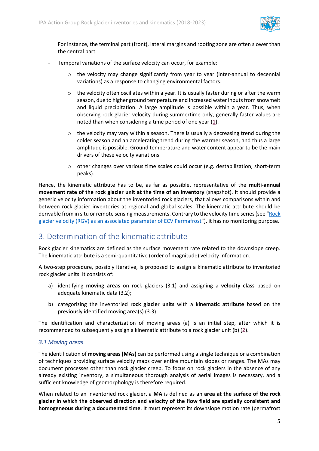

For instance, the terminal part (front), lateral margins and rooting zone are often slower than the central part.

- Temporal variations of the surface velocity can occur, for example:
	- $\circ$  the velocity may change significantly from year to year (inter-annual to decennial variations) as a response to changing environmental factors.
	- $\circ$  the velocity often oscillates within a year. It is usually faster during or after the warm season, due to higher ground temperature and increased water inputs from snowmelt and liquid precipitation. A large amplitude is possible within a year. Thus, when observing rock glacier velocity during summertime only, generally faster values are noted than when considering a time period of one year (**[1](https://bigweb.unifr.ch/Science/Geosciences/Geomorphology/Pub/Website/IPA/Guidelines/BPC/ATLAS/1_ATLAS_IPA_AG_RGI_KA.pdf)**).
	- $\circ$  the velocity may vary within a season. There is usually a decreasing trend during the colder season and an accelerating trend during the warmer season, and thus a large amplitude is possible. Ground temperature and water content appear to be the main drivers of these velocity variations.
	- $\circ$  other changes over various time scales could occur (e.g. destabilization, short-term peaks).

Hence, the kinematic attribute has to be, as far as possible, representative of the **multi-annual movement rate of the rock glacier unit at the time of an inventory** (snapshot). It should provide a generic velocity information about the inventoried rock glaciers, that allows comparisons within and between rock glacier inventories at regional and global scales. The kinematic attribute should be derivable from in situ or remote sensing measurements. Contrary to the velocity time series (see "[Rock](https://bigweb.unifr.ch/Science/Geosciences/Geomorphology/Pub/Website/IPA/CurrentVersion/Current_RockGlacierVelocity.pdf)  glacier velocity (RGV) [as an associated parameter of ECV Permafrost](https://bigweb.unifr.ch/Science/Geosciences/Geomorphology/Pub/Website/IPA/CurrentVersion/Current_RockGlacierVelocity.pdf)"), it has no monitoring purpose.

### <span id="page-5-0"></span>3. Determination of the kinematic attribute

Rock glacier kinematics are defined as the surface movement rate related to the downslope creep. The kinematic attribute is a semi-quantitative (order of magnitude) velocity information.

A two-step procedure, possibly iterative, is proposed to assign a kinematic attribute to inventoried rock glacier units. It consists of:

- a) identifying **moving areas** on rock glaciers (3.1) and assigning a **velocity class** based on adequate kinematic data (3.2);
- b) categorizing the inventoried **rock glacier units** with a **kinematic attribute** based on the previously identified moving area(s) (3.3).

The identification and characterization of moving areas (a) is an initial step, after which it is recommended to subsequently assign a kinematic attribute to a rock glacier unit (b) (**[2](https://bigweb.unifr.ch/Science/Geosciences/Geomorphology/Pub/Website/IPA/Guidelines/BPC/ATLAS/2_ATLAS_IPA_AG_RGI_KA.pdf)**).

#### <span id="page-5-1"></span>*3.1 Moving areas*

The identification of **moving areas (MAs)** can be performed using a single technique or a combination of techniques providing surface velocity maps over entire mountain slopes or ranges. The MAs may document processes other than rock glacier creep. To focus on rock glaciers in the absence of any already existing inventory, a simultaneous thorough analysis of aerial images is necessary, and a sufficient knowledge of geomorphology is therefore required.

When related to an inventoried rock glacier, a **MA** is defined as an **area at the surface of the rock glacier in which the observed direction and velocity of the flow field are spatially consistent and homogeneous during a documented time**. It must represent its downslope motion rate (permafrost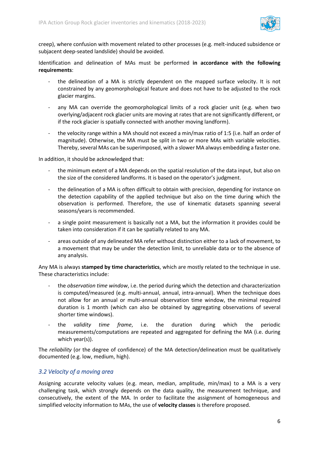

creep), where confusion with movement related to other processes (e.g. melt-induced subsidence or subjacent deep-seated landslide) should be avoided.

Identification and delineation of MAs must be performed **in accordance with the following requirements**:

- the delineation of a MA is strictly dependent on the mapped surface velocity. It is not constrained by any geomorphological feature and does not have to be adjusted to the rock glacier margins.
- any MA can override the geomorphological limits of a rock glacier unit (e.g. when two overlying/adjacent rock glacier units are moving at rates that are not significantly different, or if the rock glacier is spatially connected with another moving landform).
- the velocity range within a MA should not exceed a min/max ratio of 1:5 (i.e. half an order of magnitude). Otherwise, the MA must be split in two or more MAs with variable velocities. Thereby, several MAs can be superimposed, with a slower MA always embedding a faster one.

In addition, it should be acknowledged that:

- the minimum extent of a MA depends on the spatial resolution of the data input, but also on the size of the considered landforms. It is based on the operator's judgment.
- the delineation of a MA is often difficult to obtain with precision, depending for instance on the detection capability of the applied technique but also on the time during which the observation is performed. Therefore, the use of kinematic datasets spanning several seasons/years is recommended.
- a single point measurement is basically not a MA, but the information it provides could be taken into consideration if it can be spatially related to any MA.
- areas outside of any delineated MA refer without distinction either to a lack of movement, to a movement that may be under the detection limit, to unreliable data or to the absence of any analysis.

Any MA is always **stamped by time characteristics**, which are mostly related to the technique in use. These characteristics include:

- the *observation time window*, i.e. the period during which the detection and characterization is computed/measured (e.g. multi-annual, annual, intra-annual). When the technique does not allow for an annual or multi-annual observation time window, the minimal required duration is 1 month (which can also be obtained by aggregating observations of several shorter time windows).
- the *validity time frame*, i.e. the duration during which the periodic measurements/computations are repeated and aggregated for defining the MA (i.e. during which year(s)).

The *reliability* (or the degree of confidence) of the MA detection/delineation must be qualitatively documented (e.g. low, medium, high).

#### <span id="page-6-0"></span>*3.2 Velocity of a moving area*

Assigning accurate velocity values (e.g. mean, median, amplitude, min/max) to a MA is a very challenging task, which strongly depends on the data quality, the measurement technique, and consecutively, the extent of the MA. In order to facilitate the assignment of homogeneous and simplified velocity information to MAs, the use of **velocity classes** is therefore proposed.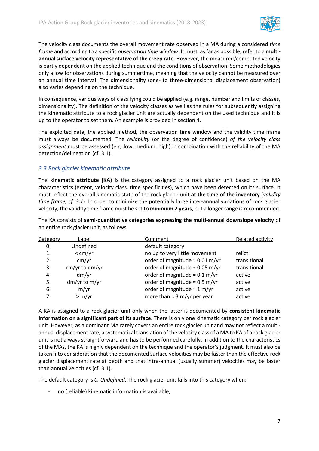

The velocity class documents the overall movement rate observed in a MA during a considered *time frame* and according to a specific *observation time window*. It must, as far as possible, refer to a **multiannual surface velocity representative of the creep rate**. However, the measured/computed velocity is partly dependent on the applied technique and the conditions of observation. Some methodologies only allow for observations during summertime, meaning that the velocity cannot be measured over an annual time interval. The dimensionality (one- to three-dimensional displacement observation) also varies depending on the technique.

In consequence, various ways of classifying could be applied (e.g. range, number and limits of classes, dimensionality). The definition of the velocity classes as well as the rules for subsequently assigning the kinematic attribute to a rock glacier unit are actually dependent on the used technique and it is up to the operator to set them. An example is provided in section 4.

The exploited data, the applied method, the observation time window and the validity time frame must always be documented. The *reliability* (or the degree of confidence) *of the velocity class assignment* must be assessed (e.g. low, medium, high) in combination with the reliability of the MA detection/delineation (cf. 3.1).

#### <span id="page-7-0"></span>*3.3 Rock glacier kinematic attribute*

The **kinematic attribute (KA)** is the category assigned to a rock glacier unit based on the MA characteristics (extent, velocity class, time specificities), which have been detected on its surface. It must reflect the overall kinematic state of the rock glacier unit **at the time of the inventory** (*validity time frame, cf. 3.1*). In order to minimize the potentially large inter-annual variations of rock glacier velocity, the validity time frame must be set **to minimum 2 years**, but a longer range is recommended.

The KA consists of **semi-quantitative categories expressing the multi-annual downslope velocity** of an entire rock glacier unit, as follows:

| Category | Label          | Comment                                | Related activity |
|----------|----------------|----------------------------------------|------------------|
| 0.       | Undefined      | default category                       |                  |
| 1.       | $<$ cm/yr      | no up to very little movement          | relict           |
| 2.       | cm/yr          | order of magnitude $\approx 0.01$ m/yr | transitional     |
| 3.       | cm/yr to dm/yr | order of magnitude $\approx 0.05$ m/yr | transitional     |
| 4.       | dm/yr          | order of magnitude $\approx 0.1$ m/yr  | active           |
| 5.       | dm/yr to m/yr  | order of magnitude $\approx$ 0.5 m/yr  | active           |
| 6.       | m/yr           | order of magnitude $\approx 1$ m/yr    | active           |
| 7.       | > m/yr         | more than $\approx$ 3 m/yr per year    | active           |
|          |                |                                        |                  |

A KA is assigned to a rock glacier unit only when the latter is documented by **consistent kinematic information on a significant part of its surface**. There is only one kinematic category per rock glacier unit. However, as a dominant MA rarely covers an entire rock glacier unit and may not reflect a multiannual displacement rate, a systematical translation of the velocity class of a MA to KA of a rock glacier unit is not always straightforward and has to be performed carefully. In addition to the characteristics of the MAs, the KA is highly dependent on the technique and the operator's judgment. It must also be taken into consideration that the documented surface velocities may be faster than the effective rock glacier displacement rate at depth and that intra-annual (usually summer) velocities may be faster than annual velocities (cf. 3.1).

The default category is *0. Undefined*. The rock glacier unit falls into this category when:

no (reliable) kinematic information is available,